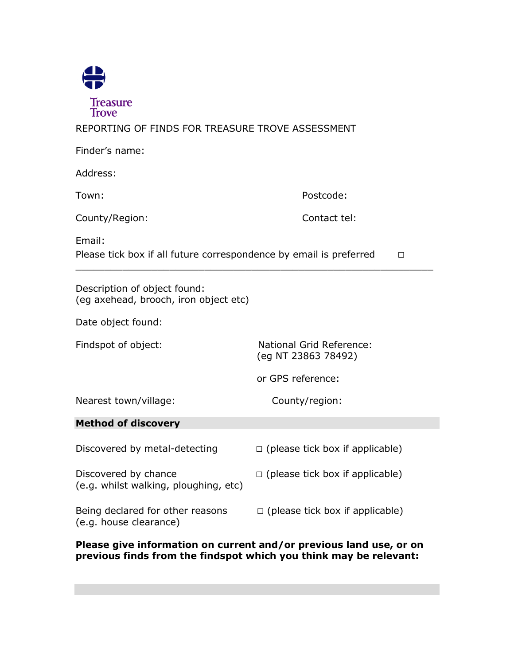

REPORTING OF FINDS FOR TREASURE TROVE ASSESSMENT

| Finder's name:                                                                         |                                                        |
|----------------------------------------------------------------------------------------|--------------------------------------------------------|
| Address:                                                                               |                                                        |
| Town:                                                                                  | Postcode:                                              |
| County/Region:                                                                         | Contact tel:                                           |
| Email:<br>Please tick box if all future correspondence by email is preferred<br>$\Box$ |                                                        |
| Description of object found:<br>(eg axehead, brooch, iron object etc)                  |                                                        |
| Date object found:                                                                     |                                                        |
| Findspot of object:                                                                    | <b>National Grid Reference:</b><br>(eq NT 23863 78492) |
|                                                                                        | or GPS reference:                                      |
| Nearest town/village:                                                                  | County/region:                                         |
| <b>Method of discovery</b>                                                             |                                                        |
| Discovered by metal-detecting                                                          | $\Box$ (please tick box if applicable)                 |
| Discovered by chance<br>(e.g. whilst walking, ploughing, etc)                          | $\Box$ (please tick box if applicable)                 |
| Being declared for other reasons<br>(e.g. house clearance)                             | $\Box$ (please tick box if applicable)                 |

**Please give information on current and/or previous land use, or on previous finds from the findspot which you think may be relevant:**